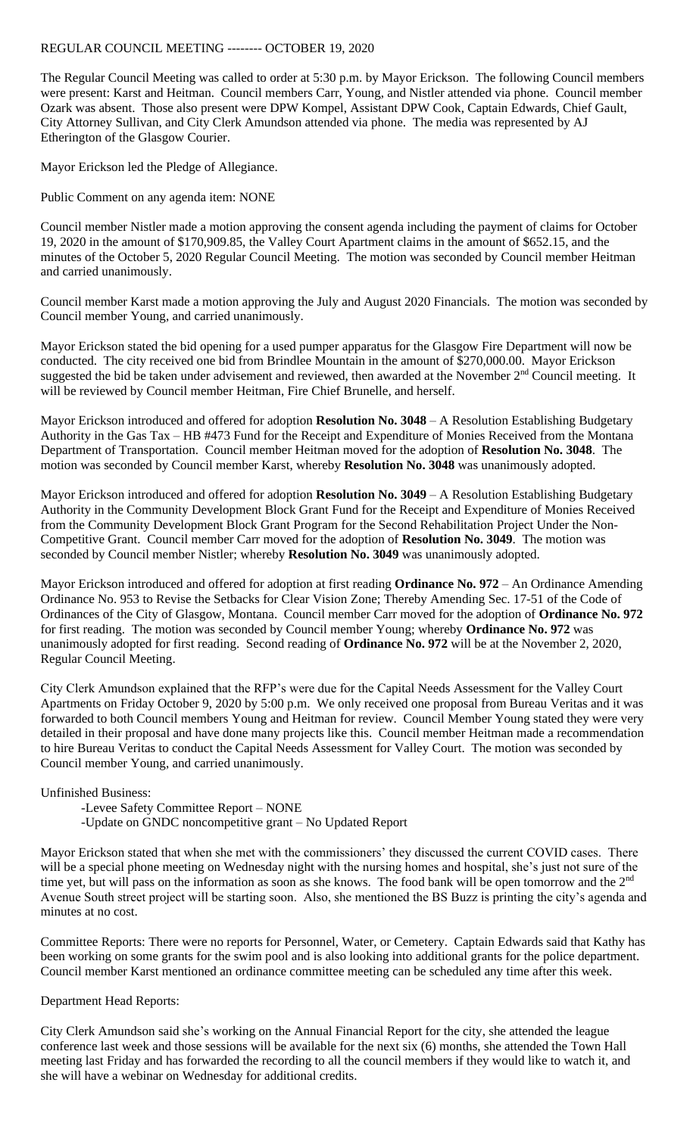## REGULAR COUNCIL MEETING -------- OCTOBER 19, 2020

The Regular Council Meeting was called to order at 5:30 p.m. by Mayor Erickson. The following Council members were present: Karst and Heitman. Council members Carr, Young, and Nistler attended via phone. Council member Ozark was absent. Those also present were DPW Kompel, Assistant DPW Cook, Captain Edwards, Chief Gault, City Attorney Sullivan, and City Clerk Amundson attended via phone. The media was represented by AJ Etherington of the Glasgow Courier.

Mayor Erickson led the Pledge of Allegiance.

Public Comment on any agenda item: NONE

Council member Nistler made a motion approving the consent agenda including the payment of claims for October 19, 2020 in the amount of \$170,909.85, the Valley Court Apartment claims in the amount of \$652.15, and the minutes of the October 5, 2020 Regular Council Meeting. The motion was seconded by Council member Heitman and carried unanimously.

Council member Karst made a motion approving the July and August 2020 Financials. The motion was seconded by Council member Young, and carried unanimously.

Mayor Erickson stated the bid opening for a used pumper apparatus for the Glasgow Fire Department will now be conducted. The city received one bid from Brindlee Mountain in the amount of \$270,000.00. Mayor Erickson suggested the bid be taken under advisement and reviewed, then awarded at the November 2<sup>nd</sup> Council meeting. It will be reviewed by Council member Heitman, Fire Chief Brunelle, and herself.

Mayor Erickson introduced and offered for adoption **Resolution No. 3048** – A Resolution Establishing Budgetary Authority in the Gas Tax – HB #473 Fund for the Receipt and Expenditure of Monies Received from the Montana Department of Transportation. Council member Heitman moved for the adoption of **Resolution No. 3048**. The motion was seconded by Council member Karst, whereby **Resolution No. 3048** was unanimously adopted.

Mayor Erickson introduced and offered for adoption **Resolution No. 3049** – A Resolution Establishing Budgetary Authority in the Community Development Block Grant Fund for the Receipt and Expenditure of Monies Received from the Community Development Block Grant Program for the Second Rehabilitation Project Under the Non-Competitive Grant. Council member Carr moved for the adoption of **Resolution No. 3049**. The motion was seconded by Council member Nistler; whereby **Resolution No. 3049** was unanimously adopted.

Mayor Erickson introduced and offered for adoption at first reading **Ordinance No. 972** – An Ordinance Amending Ordinance No. 953 to Revise the Setbacks for Clear Vision Zone; Thereby Amending Sec. 17-51 of the Code of Ordinances of the City of Glasgow, Montana. Council member Carr moved for the adoption of **Ordinance No. 972** for first reading. The motion was seconded by Council member Young; whereby **Ordinance No. 972** was unanimously adopted for first reading. Second reading of **Ordinance No. 972** will be at the November 2, 2020, Regular Council Meeting.

City Clerk Amundson explained that the RFP's were due for the Capital Needs Assessment for the Valley Court Apartments on Friday October 9, 2020 by 5:00 p.m. We only received one proposal from Bureau Veritas and it was forwarded to both Council members Young and Heitman for review. Council Member Young stated they were very detailed in their proposal and have done many projects like this. Council member Heitman made a recommendation to hire Bureau Veritas to conduct the Capital Needs Assessment for Valley Court. The motion was seconded by Council member Young, and carried unanimously.

Unfinished Business:

- -Levee Safety Committee Report NONE
- -Update on GNDC noncompetitive grant No Updated Report

Mayor Erickson stated that when she met with the commissioners' they discussed the current COVID cases. There will be a special phone meeting on Wednesday night with the nursing homes and hospital, she's just not sure of the time yet, but will pass on the information as soon as she knows. The food bank will be open tomorrow and the 2<sup>nd</sup> Avenue South street project will be starting soon. Also, she mentioned the BS Buzz is printing the city's agenda and minutes at no cost.

Committee Reports: There were no reports for Personnel, Water, or Cemetery. Captain Edwards said that Kathy has been working on some grants for the swim pool and is also looking into additional grants for the police department. Council member Karst mentioned an ordinance committee meeting can be scheduled any time after this week.

Department Head Reports:

City Clerk Amundson said she's working on the Annual Financial Report for the city, she attended the league conference last week and those sessions will be available for the next six (6) months, she attended the Town Hall meeting last Friday and has forwarded the recording to all the council members if they would like to watch it, and she will have a webinar on Wednesday for additional credits.